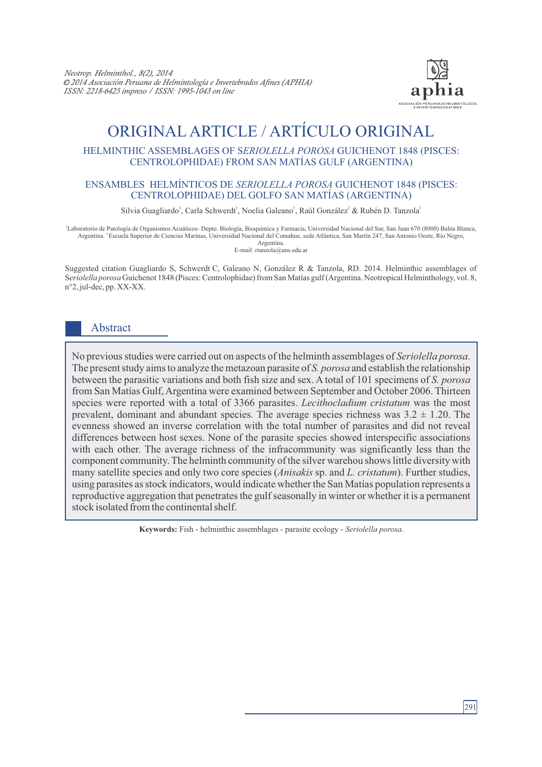

# ORIGINAL ARTICLE / ARTÍCULO ORIGINAL

#### HELMINTHIC ASSEMBLAGES OF S*ERIOLELLA POROSA* GUICHENOT 1848 (PISCES: CENTROLOPHIDAE) FROM SAN MATÍAS GULF (ARGENTINA)

#### ENSAMBLES HELMÍNTICOS DE *SERIOLELLA POROSA* GUICHENOT 1848 (PISCES: CENTROLOPHIDAE) DEL GOLFO SAN MATÍAS (ARGENTINA)

Silvia Guagliardo<sup>1</sup>, Carla Schwerdt<sup>1</sup>, Noelia Galeano<sup>1</sup>, Raúl González<sup>2</sup> & Rubén D. Tanzola<sup>1</sup>

1 Laboratorio de Patología de Organismos Acuáticos- Depto. Biología, Bioquímica y Farmacia, Universidad Nacional del Sur, San Juan 670 (8000) Bahía Blanca, <sup>2</sup>Argentina. Escuela Superior de Ciencias Marinas, Universidad Nacional del Comahue, sede Atlántica, San Martín 247, San Antonio Oeste, Río Negro, Argentina.

E-mail: rtanzola@uns.edu.ar

Suggested citation Guagliardo S, Schwerdt C, Galeano N, González R & Tanzola, RD. 2014. Helminthic assemblages of S*eriolella porosa* Guichenot 1848 (Pisces: Centrolophidae) from San Matías gulf (Argentina. Neotropical Helminthology, vol. 8, n°2, jul-dec, pp. XX-XX.

## Abstract

No previous studies were carried out on aspects of the helminth assemblages of *Seriolella porosa*. The present study aims to analyze the metazoan parasite of *S. porosa* and establish the relationship between the parasitic variations and both fish size and sex. A total of 101 specimens of *S. porosa*  from San Matías Gulf, Argentina were examined between September and October 2006. Thirteen species were reported with a total of 3366 parasites. *Lecithocladium cristatum* was the most prevalent, dominant and abundant species. The average species richness was  $3.2 \pm 1.20$ . The evenness showed an inverse correlation with the total number of parasites and did not reveal differences between host sexes. None of the parasite species showed interspecific associations with each other. The average richness of the infracommunity was significantly less than the component community. The helminth community of the silver warehou shows little diversity with many satellite species and only two core species (*Anisakis* sp. and *L. cristatum*). Further studies, using parasites as stock indicators, would indicate whether the San Matías population represents a reproductive aggregation that penetrates the gulf seasonally in winter or whether it is a permanent stock isolated from the continental shelf.

**Keywords:** Fish - helminthic assemblages - parasite ecology - *Seriolella porosa*.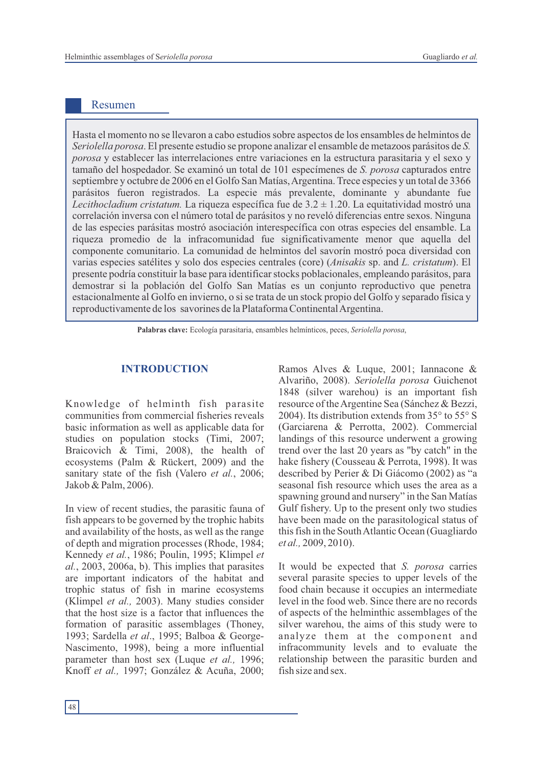### Resumen

Hasta el momento no se llevaron a cabo estudios sobre aspectos de los ensambles de helmintos de *Seriolella porosa*. El presente estudio se propone analizar el ensamble de metazoos parásitos de *S. porosa* y establecer las interrelaciones entre variaciones en la estructura parasitaria y el sexo y tamaño del hospedador. Se examinó un total de 101 especímenes de *S. porosa* capturados entre septiembre y octubre de 2006 en el Golfo San Matías, Argentina. Trece especies y un total de 3366 parásitos fueron registrados. La especie más prevalente, dominante y abundante fue Lecithocladium cristatum. La riqueza específica fue de  $3.2 \pm 1.20$ . La equitatividad mostró una correlación inversa con el número total de parásitos y no reveló diferencias entre sexos. Ninguna de las especies parásitas mostró asociación interespecífica con otras especies del ensamble. La riqueza promedio de la infracomunidad fue significativamente menor que aquella del componente comunitario. La comunidad de helmintos del savorín mostró poca diversidad con varias especies satélites y solo dos especies centrales (core) (*Anisakis* sp. and *L. cristatum*). El presente podría constituir la base para identificar stocks poblacionales, empleando parásitos, para demostrar si la población del Golfo San Matías es un conjunto reproductivo que penetra estacionalmente al Golfo en invierno, o si se trata de un stock propio del Golfo y separado física y reproductivamente de los savorines de la Plataforma Continental Argentina.

**Palabras clave:** Ecología parasitaria, ensambles helmínticos, peces, *Seriolella porosa*,

Knowledge of helminth fish parasite communities from commercial fisheries reveals basic information as well as applicable data for studies on population stocks (Timi, 2007; Braicovich & Timi, 2008), the health of ecosystems (Palm & Rückert, 2009) and the sanitary state of the fish (Valero *et al.*, 2006; Jakob & Palm, 2006).

In view of recent studies, the parasitic fauna of fish appears to be governed by the trophic habits and availability of the hosts, as well as the range of depth and migration processes (Rhode, 1984; Kennedy *et al.*, 1986; Poulin, 1995; Klimpel *et al.*, 2003, 2006a, b). This implies that parasites are important indicators of the habitat and trophic status of fish in marine ecosystems (Klimpel *et al.,* 2003). Many studies consider that the host size is a factor that influences the formation of parasitic assemblages (Thoney, 1993; Sardella *et al*., 1995; Balboa & George-Nascimento, 1998), being a more influential parameter than host sex (Luque *et al.,* 1996; Knoff *et al.,* 1997; González & Acuña, 2000;

**INTRODUCTION** Ramos Alves & Luque, 2001; Iannacone & Alvariño, 2008). *Seriolella porosa* Guichenot 1848 (silver warehou) is an important fish resource of the Argentine Sea (Sánchez & Bezzi, 2004). Its distribution extends from 35° to 55° S (Garciarena & Perrotta, 2002). Commercial landings of this resource underwent a growing trend over the last 20 years as "by catch" in the hake fishery (Cousseau & Perrota, 1998). It was described by Perier & Di Giácomo (2002) as "a seasonal fish resource which uses the area as a spawning ground and nursery" in the San Matías Gulf fishery. Up to the present only two studies have been made on the parasitological status of this fish in the South Atlantic Ocean (Guagliardo *et al.,* 2009, 2010).

> It would be expected that *S. porosa* carries several parasite species to upper levels of the food chain because it occupies an intermediate level in the food web. Since there are no records of aspects of the helminthic assemblages of the silver warehou, the aims of this study were to analyze them at the component and infracommunity levels and to evaluate the relationship between the parasitic burden and fish size and sex.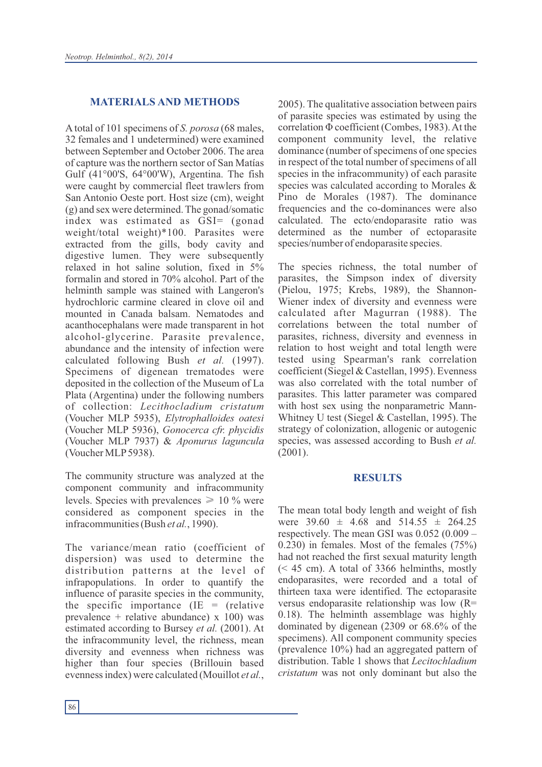#### **MATERIALS AND METHODS**

A total of 101 specimens of *S. porosa* (68 males, 32 females and 1 undetermined) were examined between September and October 2006. The area of capture was the northern sector of San Matías Gulf (41°00'S, 64°00'W), Argentina. The fish were caught by commercial fleet trawlers from San Antonio Oeste port. Host size (cm), weight (g) and sex were determined. The gonad/somatic index was estimated as GSI= (gonad weight/total weight)\*100. Parasites were extracted from the gills, body cavity and digestive lumen. They were subsequently relaxed in hot saline solution, fixed in 5% formalin and stored in 70% alcohol. Part of the helminth sample was stained with Langeron's hydrochloric carmine cleared in clove oil and mounted in Canada balsam. Nematodes and acanthocephalans were made transparent in hot alcohol-glycerine. Parasite prevalence, abundance and the intensity of infection were calculated following Bush *et al.* (1997). Specimens of digenean trematodes were deposited in the collection of the Museum of La Plata (Argentina) under the following numbers of collection: *Lecithocladium cristatum* (Voucher MLP 5935), *Elytrophalloides oatesi* (Voucher MLP 5936), *Gonocerca cfr. phycidis* (Voucher MLP 7937) & *Aponurus laguncula* (Voucher MLP5938).

The community structure was analyzed at the component community and infracommunity levels. Species with prevalences  $\geq 10\%$  were considered as component species in the infracommunities (Bush *et al.*, 1990).

The variance/mean ratio (coefficient of dispersion) was used to determine the distribution patterns at the level of infrapopulations. In order to quantify the influence of parasite species in the community, the specific importance  $(IE = (relative$ prevalence + relative abundance)  $x$  100) was estimated according to Bursey *et al.* (2001). At the infracommunity level, the richness, mean diversity and evenness when richness was higher than four species (Brillouin based evenness index) were calculated (Mouillot *et al.*,

2005). The qualitative association between pairs of parasite species was estimated by using the correlation Φ coefficient (Combes, 1983). At the component community level, the relative dominance (number of specimens of one species in respect of the total number of specimens of all species in the infracommunity) of each parasite species was calculated according to Morales & Pino de Morales (1987). The dominance frequencies and the co-dominances were also calculated. The ecto/endoparasite ratio was determined as the number of ectoparasite species/number of endoparasite species.

The species richness, the total number of parasites, the Simpson index of diversity (Pielou, 1975; Krebs, 1989), the Shannon-Wiener index of diversity and evenness were calculated after Magurran (1988). The correlations between the total number of parasites, richness, diversity and evenness in relation to host weight and total length were tested using Spearman's rank correlation coefficient (Siegel & Castellan, 1995). Evenness was also correlated with the total number of parasites. This latter parameter was compared with host sex using the nonparametric Mann-Whitney U test (Siegel & Castellan, 1995). The strategy of colonization, allogenic or autogenic species, was assessed according to Bush *et al.* (2001).

#### **RESULTS**

The mean total body length and weight of fish were  $39.60 \pm 4.68$  and  $514.55 \pm 264.25$ respectively. The mean GSI was 0.052 (0.009 – 0.230) in females. Most of the females (75%) had not reached the first sexual maturity length (< 45 cm). A total of 3366 helminths, mostly endoparasites, were recorded and a total of thirteen taxa were identified. The ectoparasite versus endoparasite relationship was low (R= 0.18). The helminth assemblage was highly dominated by digenean (2309 or 68.6% of the specimens). All component community species (prevalence 10%) had an aggregated pattern of distribution. Table 1 shows that *Lecitochladium cristatum* was not only dominant but also the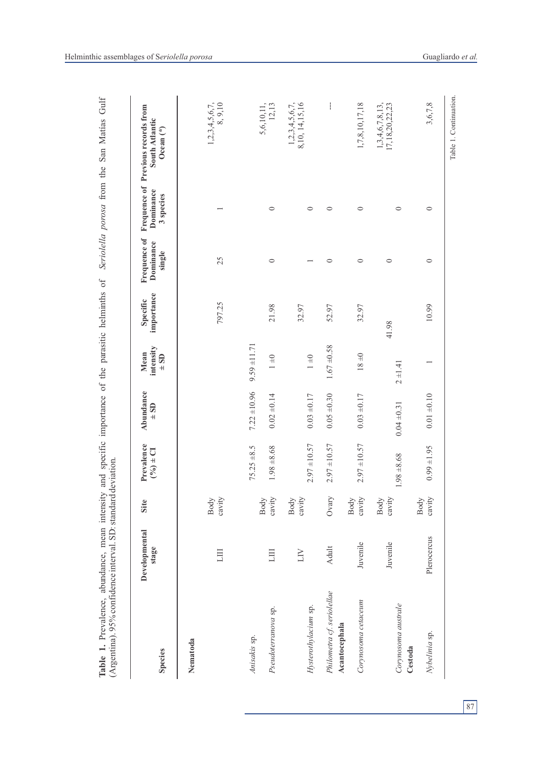| <b>Species</b>                       | Developmental<br>stage | Site           | Prevalence<br>$(9/6) \pm C1$ | Abundance<br>$\pm$ SD | intensity<br>Mean<br>$\pm$ SD | importance<br>Specific | Frequence of<br>Dominance<br>single | Dominance<br>3 species | Frequence of Previous records from<br>South Atlantic<br>Ocean $(*)$ |
|--------------------------------------|------------------------|----------------|------------------------------|-----------------------|-------------------------------|------------------------|-------------------------------------|------------------------|---------------------------------------------------------------------|
| Nematoda                             |                        |                |                              |                       |                               |                        |                                     |                        |                                                                     |
|                                      | EЦ                     | cavity<br>Body |                              |                       |                               | 797.25                 | 25                                  |                        | $1,2,3,4,5,6,7,$<br>8, 9, 10                                        |
| Anisakis sp.                         |                        |                | $75.25 \pm 8.5$              | $7.22 \pm 10.96$      | $9.59 \pm 11.71$              |                        |                                     |                        |                                                                     |
| Pseudoterranova sp.                  | ЩI                     | cavity<br>Body | $1.98 + 8.68$                | $0.02 \pm 0.14$       | $1 \pm 0$                     | 21.98                  | $\circ$                             | $\circ$                | $5,6,10,11,$<br>$12,13$                                             |
| Hysterothylacium sp.                 | ПŊ                     | cavity<br>Body | $2.97 \pm 10.57$             | $0.03 \pm 0.17$       | $1 \pm 0$                     | 32.97                  |                                     | $\circ$                | 1,2,3,4,5,6,7,<br>8,10, 14,15,16                                    |
| Philometra cf. seriolellae           | <b>Adult</b>           | Ovary          | $2.97 \pm 10.57$             | $0.05 + 0.30$         | $1.67 + 0.58$                 | 52.97                  | $\circ$                             | $\circ$                | $\mathbf{I}$                                                        |
| Corynosoma cetaceum<br>Acantocephala | Juvenile               | cavity<br>Body | $2.97 \pm 10.57$             | $0.03 + 0.17$         | $18 \pm 0$                    | 32.97                  | $\circ$                             | $\circ$                | 1,7,8,10,17,18                                                      |
| Corynosoma australe                  | Juvenile               | cavity<br>Body | $1.98 + 8.68$                | $0.04 \pm 0.31$       | $2 \pm 1.41$                  | 41.98                  | $\circ$                             | $\circ$                | 1, 3, 4, 6, 7, 8, 13,<br>17, 18, 20, 22, 23                         |
| Nybelinia sp.<br>Cestoda             | Plerocercus            | cavity<br>Body | $0.99 \pm 1.95$              | $0.01 + 0.10$         |                               | 10.99                  | $\circ$                             | $\circ$                | 3,6,7,8                                                             |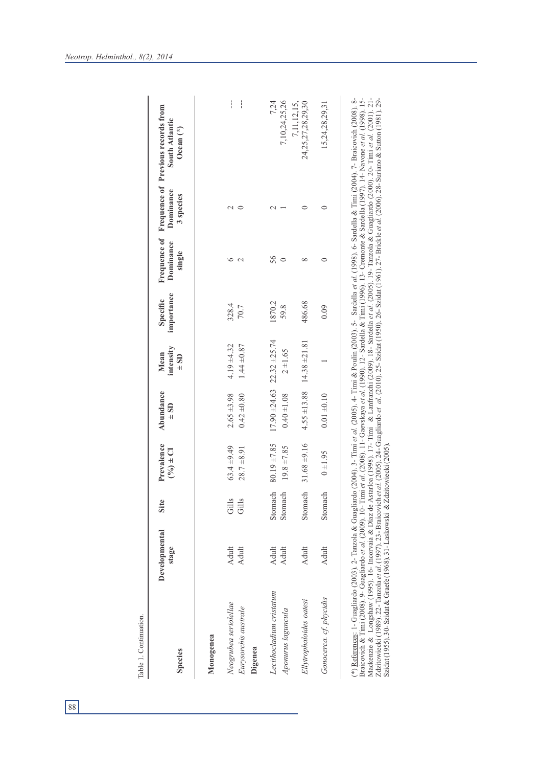| <b>Species</b>                  | Developmental<br>stage | یح<br>5 | Prevalence<br>$(9/6) \pm C1$ | Abundance<br>$\pm$ SD               | intensity<br>$\pm$ SD<br>Mean      | importance<br>Specific | Dominance<br>single | Dominance<br>3 species | Frequence of Frequence of Previous records from<br>South Atlantic<br>Ocean <sup>(*)</sup> |
|---------------------------------|------------------------|---------|------------------------------|-------------------------------------|------------------------------------|------------------------|---------------------|------------------------|-------------------------------------------------------------------------------------------|
| Monogenea                       |                        |         |                              |                                     |                                    |                        |                     |                        |                                                                                           |
| Neogrubea seriolellae           | Adult                  | Gills   | $63.4 \pm 9.49$              | $2.65 + 3.98$                       | $4.19 + 4.32$                      | 328.4                  |                     |                        | I                                                                                         |
| Eurysorchis australe<br>Digenea | Adult                  | Gills   | $28.7 + 8.91$                | $0.42 \pm 0.80$                     | $1.44 \pm 0.87$                    | 70.7                   |                     |                        | $\frac{1}{1}$                                                                             |
| Lecithocladium cristatum        | Adult                  | Stomach | $80.19 \pm 7.85$             | $17.90 \pm 24.63$ 22.32 $\pm 25.74$ |                                    | 1870.2                 | 56                  |                        | 7,24                                                                                      |
| Aponurus laguncula              | Adult                  | Stomach | $19.8 \pm 7.85$              | $0.40 \pm 1.08$                     | $2 + 1.65$                         | 59.8                   |                     |                        | 7,10,24,25,26                                                                             |
| Ellytrophaloides oatesi         | <b>Adult</b>           | Stomach | $31.68 + 9.16$               |                                     | $4.55 \pm 13.88$ 14.38 $\pm 21.81$ | 486.68                 |                     |                        | 24,25,27,28,29,30<br>7,11,12,15,                                                          |

| Szidat (1955). 30- Szidat & Graefe (1968). 31- Laskowski & Zdzitowiecki (2005). |
|---------------------------------------------------------------------------------|
|---------------------------------------------------------------------------------|

*Gonocerca. cf. phycidis* Adult Stomach 0 ±1.95 0.01 ±0.10 1 10.01 ±0.10 1 1 0.09 0.09 0.09 15,24,28,29,31

 $0.01 + 0.10$ 

 $0 + 1.95$ 

Stomach

Adult

Gonocerca. cf. phycidis

 $\overline{\phantom{0}}$ 

15,24,28,29,31

 $\circ$ 

 $\circ$ 

 $0.09$ 

Table 1. Continuation.

Table 1. Continuation.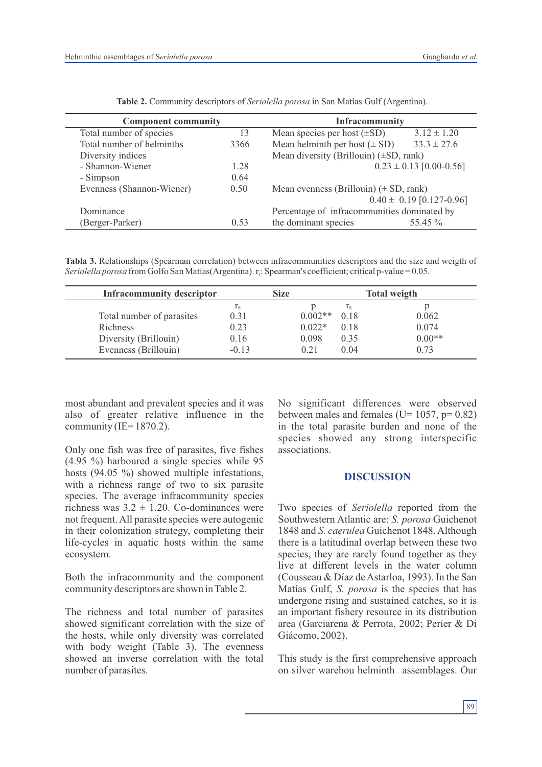| <b>Component community</b> |      | Infracommunity                              |                              |
|----------------------------|------|---------------------------------------------|------------------------------|
| Total number of species    | 13   | Mean species per host $(\pm SD)$            | $3.12 \pm 1.20$              |
| Total number of helminths  | 3366 | Mean helminth per host $(\pm SD)$           | $33.3 \pm 27.6$              |
| Diversity indices          |      | Mean diversity (Brillouin) $(\pm SD, rank)$ |                              |
| - Shannon-Wiener           | 1.28 |                                             | $0.23 \pm 0.13$ [0.00-0.56]  |
| - Simpson                  | 0.64 |                                             |                              |
| Evenness (Shannon-Wiener)  | 0.50 | Mean evenness (Brillouin) $(\pm SD, rank)$  |                              |
|                            |      |                                             | $0.40 \pm 0.19$ [0.127-0.96] |
| Dominance                  |      | Percentage of infracommunities dominated by |                              |
| (Berger-Parker)            | 0.53 | the dominant species                        | 55.45 %                      |

**Table 2.** Community descriptors of *Seriolella porosa* in San Matías Gulf (Argentina).

**Tabla 3.** Relationships (Spearman correlation) between infracommunities descriptors and the size and weigth of *Seriolella porosa* from Golfo San Matías(Argentina). r<sub>s</sub>: Spearman's coefficient; critical p-value = 0.05.

| <b>Infracommunity descriptor</b> |                  | <b>Size</b> |           |                | <b>Total weigth</b> |
|----------------------------------|------------------|-------------|-----------|----------------|---------------------|
|                                  | $\Gamma_{\rm S}$ |             |           | $\mathbf{I}_S$ |                     |
| Total number of parasites        | 0.31             |             | $0.002**$ | 0.18           | 0.062               |
| Richness                         | 0.23             |             | $0.022*$  | 0.18           | 0.074               |
| Diversity (Brillouin)            | 0.16             |             | 0.098     | 0.35           | $0.00**$            |
| Evenness (Brillouin)             | $-0.13$          |             | 0.21      | 0.04           | 0.73                |

most abundant and prevalent species and it was also of greater relative influence in the community (IE=  $1870.2$ ).

Only one fish was free of parasites, five fishes (4.95 %) harboured a single species while 95 hosts (94.05 %) showed multiple infestations, with a richness range of two to six parasite species. The average infracommunity species richness was  $3.2 \pm 1.20$ . Co-dominances were not frequent. All parasite species were autogenic in their colonization strategy, completing their life-cycles in aquatic hosts within the same ecosystem.

Both the infracommunity and the component community descriptors are shown in Table 2.

The richness and total number of parasites showed significant correlation with the size of the hosts, while only diversity was correlated with body weight (Table 3). The evenness showed an inverse correlation with the total number of parasites.

No significant differences were observed between males and females (U=  $1057$ , p=  $0.82$ ) in the total parasite burden and none of the species showed any strong interspecific associations.

#### **DISCUSSION**

Two species of *Seriolella* reported from the Southwestern Atlantic are: *S. porosa* Guichenot 1848 and *S. caerulea* Guichenot 1848. Although there is a latitudinal overlap between these two species, they are rarely found together as they live at different levels in the water column (Cousseau & Díaz de Astarloa, 1993). In the San Matías Gulf, *S. porosa* is the species that has undergone rising and sustained catches, so it is an important fishery resource in its distribution area (Garciarena & Perrota, 2002; Perier & Di Giácomo, 2002).

This study is the first comprehensive approach on silver warehou helminth assemblages. Our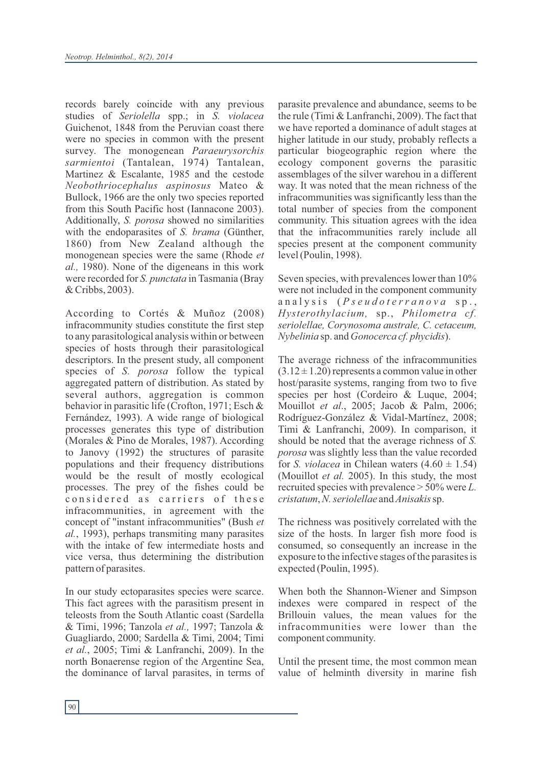records barely coincide with any previous studies of *Seriolella* spp.; in *S. violacea* Guichenot, 1848 from the Peruvian coast there were no species in common with the present survey. The monogenean *Paraeurysorchis sarmientoi* (Tantalean, 1974) Tantalean, Martinez & Escalante, 1985 and the cestode *Neobothriocephalus aspinosus* Mateo & Bullock, 1966 are the only two species reported from this South Pacific host (Iannacone 2003). Additionally, *S. porosa* showed no similarities with the endoparasites of *S. brama* (Günther, 1860) from New Zealand although the monogenean species were the same (Rhode *et al.,* 1980). None of the digeneans in this work were recorded for *S. punctata* in Tasmania (Bray & Cribbs, 2003).

According to Cortés & Muñoz (2008) infracommunity studies constitute the first step to any parasitological analysis within or between species of hosts through their parasitological descriptors. In the present study, all component species of *S. porosa* follow the typical aggregated pattern of distribution. As stated by several authors, aggregation is common behavior in parasitic life (Crofton, 1971; Esch & Fernández, 1993). A wide range of biological processes generates this type of distribution (Morales & Pino de Morales, 1987). According to Janovy (1992) the structures of parasite populations and their frequency distributions would be the result of mostly ecological processes. The prey of the fishes could be considered as carriers of these infracommunities, in agreement with the concept of "instant infracommunities" (Bush *et al.*, 1993), perhaps transmiting many parasites with the intake of few intermediate hosts and vice versa, thus determining the distribution pattern of parasites.

In our study ectoparasites species were scarce. This fact agrees with the parasitism present in teleosts from the South Atlantic coast (Sardella & Timi, 1996; Tanzola *et al.,* 1997; Tanzola & Guagliardo, 2000; Sardella & Timi, 2004; Timi *et al.*, 2005; Timi & Lanfranchi, 2009). In the north Bonaerense region of the Argentine Sea, the dominance of larval parasites, in terms of parasite prevalence and abundance, seems to be the rule (Timi & Lanfranchi, 2009). The fact that we have reported a dominance of adult stages at higher latitude in our study, probably reflects a particular biogeographic region where the ecology component governs the parasitic assemblages of the silver warehou in a different way. It was noted that the mean richness of the infracommunities was significantly less than the total number of species from the component community. This situation agrees with the idea that the infracommunities rarely include all species present at the component community level (Poulin, 1998).

Seven species, with prevalences lower than 10% were not included in the component community a n a l y s i s ( *P s e u d o t e r r a n o v a* s p . , *Hysterothylacium,* sp., *Philometra cf. seriolellae, Corynosoma australe, C. cetaceum, Nybelinia* sp. and *Gonocerca cf. phycidis*).

The average richness of the infracommunities  $(3.12 \pm 1.20)$  represents a common value in other host/parasite systems, ranging from two to five species per host (Cordeiro & Luque, 2004; Mouillot *et al*., 2005; Jacob & Palm, 2006; Rodríguez-González & Vidal-Martínez, 2008; Timi & Lanfranchi, 2009). In comparison, it should be noted that the average richness of *S. porosa* was slightly less than the value recorded for *S. violacea* in Chilean waters  $(4.60 \pm 1.54)$ (Mouillot *et al.* 2005). In this study, the most recruited species with prevalence > 50% were *L. cristatum*, *N. seriolellae* and *Anisakis* sp.

The richness was positively correlated with the size of the hosts. In larger fish more food is consumed, so consequently an increase in the exposure to the infective stages of the parasites is expected (Poulin, 1995).

When both the Shannon-Wiener and Simpson indexes were compared in respect of the Brillouin values, the mean values for the infracommunities were lower than the component community.

Until the present time, the most common mean value of helminth diversity in marine fish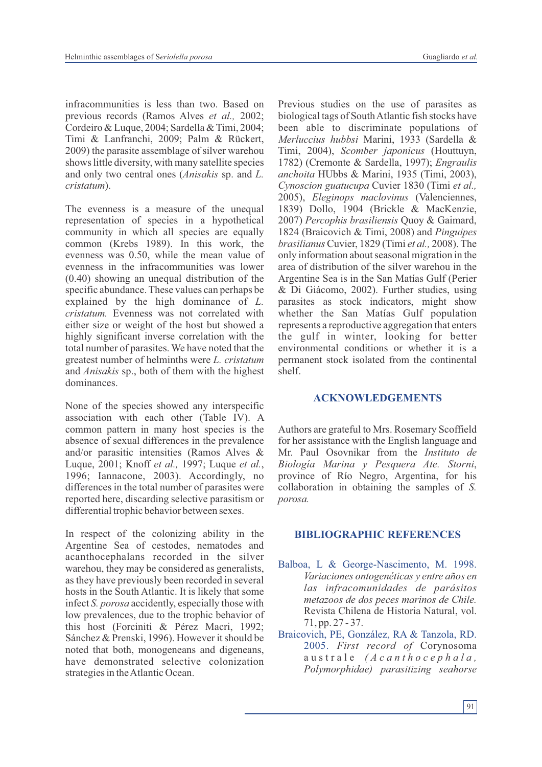infracommunities is less than two. Based on previous records (Ramos Alves *et al.,* 2002; Cordeiro & Luque, 2004; Sardella & Timi, 2004; Timi & Lanfranchi, 2009; Palm & Rückert, 2009) the parasite assemblage of silver warehou shows little diversity, with many satellite species and only two central ones (*Anisakis* sp. and *L. cristatum*).

The evenness is a measure of the unequal representation of species in a hypothetical community in which all species are equally common (Krebs 1989). In this work, the evenness was 0.50, while the mean value of evenness in the infracommunities was lower (0.40) showing an unequal distribution of the specific abundance. These values can perhaps be explained by the high dominance of *L. cristatum.* Evenness was not correlated with either size or weight of the host but showed a highly significant inverse correlation with the total number of parasites. We have noted that the greatest number of helminths were *L. cristatum* and *Anisakis* sp., both of them with the highest dominances.

None of the species showed any interspecific association with each other (Table IV). A common pattern in many host species is the absence of sexual differences in the prevalence and/or parasitic intensities (Ramos Alves & Luque, 2001; Knoff *et al.,* 1997; Luque *et al.*, 1996; Iannacone, 2003). Accordingly, no differences in the total number of parasites were reported here, discarding selective parasitism or differential trophic behavior between sexes.

In respect of the colonizing ability in the Argentine Sea of cestodes, nematodes and acanthocephalans recorded in the silver warehou, they may be considered as generalists, as they have previously been recorded in several hosts in the South Atlantic. It is likely that some infect *S. porosa* accidently, especially those with low prevalences, due to the trophic behavior of this host (Forciniti & Pérez Macri, 1992; Sánchez & Prenski, 1996). However it should be noted that both, monogeneans and digeneans, have demonstrated selective colonization strategies in the Atlantic Ocean.

Previous studies on the use of parasites as biological tags of South Atlantic fish stocks have been able to discriminate populations of *Merluccius hubbsi* Marini, 1933 (Sardella & Timi, 2004), *Scomber japonicus* (Houttuyn, 1782) (Cremonte & Sardella, 1997); *Engraulis anchoita* HUbbs & Marini, 1935 (Timi, 2003), *Cynoscion guatucupa* Cuvier 1830 (Timi *et al.,* 2005), *Eleginops maclovinus* (Valenciennes, 1839) Dollo, 1904 (Brickle & MacKenzie, 2007) *Percophis brasiliensis* Quoy & Gaimard, 1824 (Braicovich & Timi, 2008) and *Pinguipes brasilianus* Cuvier, 1829 (Timi *et al.,* 2008). The only information about seasonal migration in the area of distribution of the silver warehou in the Argentine Sea is in the San Matías Gulf (Perier & Di Giácomo, 2002). Further studies, using parasites as stock indicators, might show whether the San Matías Gulf population represents a reproductive aggregation that enters the gulf in winter, looking for better environmental conditions or whether it is a permanent stock isolated from the continental shelf.

#### **ACKNOWLEDGEMENTS**

Authors are grateful to Mrs. Rosemary Scoffield for her assistance with the English language and Mr. Paul Osovnikar from the *Instituto de Biología Marina y Pesquera Ate. Storni*, province of Río Negro, Argentina, for his collaboration in obtaining the samples of *S. porosa.* 

#### **BIBLIOGRAPHIC REFERENCES**

- Balboa, L & George-Nascimento, M. 1998. *Variaciones ontogenéticas y entre años en las infracomunidades de parásitos metazoos de dos peces marinos de Chile.* Revista Chilena de Historia Natural, vol. 71, pp. 27 - 37.
- Braicovich, PE, González, RA & Tanzola, RD. 2005. *First record of* Corynosoma a u s t r a l e *( A c a n t h o c e p h a l a , Polymorphidae) parasitizing seahorse*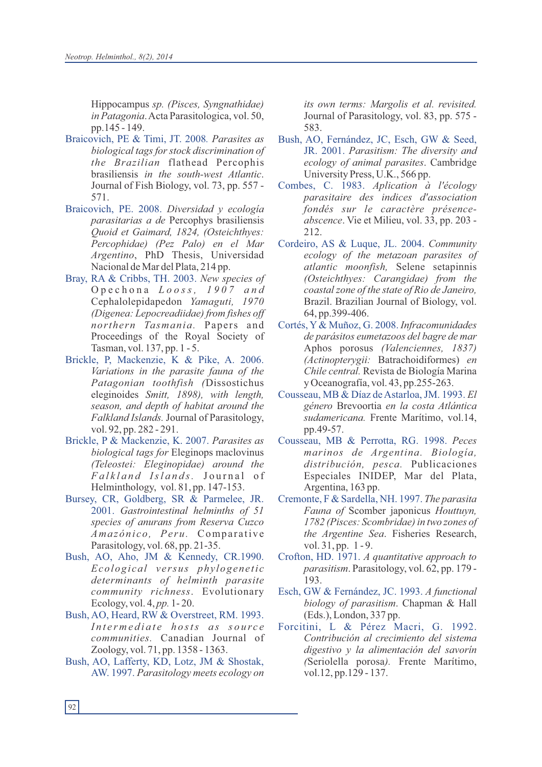Hippocampus *sp. (Pisces, Syngnathidae) in Patagonia*. Acta Parasitologica, vol. 50, pp.145 - 149.

- Braicovich, PE & Timi, JT. 2008*. Parasites as biological tags for stock discrimination of the Brazilian* flathead Percophis brasiliensis *in the south-west Atlantic*. Journal of Fish Biology, vol. 73, pp. 557 - 571.
- Braicovich, PE. 2008. *Diversidad y ecología parasitarias a de* Percophys brasiliensis *Quoid et Gaimard, 1824, (Osteichthyes: Percophidae) (Pez Palo) en el Mar Argentino*, PhD Thesis, Universidad Nacional de Mar del Plata, 214 pp.
- Bray, RA & Cribbs, TH. 2003. *New species of*  O p e c h o n a *L o o s s , 1 9 0 7 a n d* Cephalolepidapedon *Yamaguti, 1970 (Digenea: Lepocreadiidae) from fishes off northern Tasmania.* Papers and Proceedings of the Royal Society of Tasman, vol. 137, pp. 1 - 5.
- Brickle, P, Mackenzie, K & Pike, A. 2006. *Variations in the parasite fauna of the Patagonian toothfish (*Dissostichus eleginoides *Smitt, 1898), with length, season, and depth of habitat around the Falkland Islands.* Journal of Parasitology, vol. 92, pp. 282 - 291.
- Brickle, P & Mackenzie, K. 2007. *Parasites as biological tags for* Eleginops maclovinus *(Teleostei: Eleginopidae) around the F a l k l a n d Isl a n d s.* J o u r n a l o f Helminthology, vol. 81, pp. 147-153.
- Bursey, CR, Goldberg, SR & Parmelee, JR. 2001. *Gastrointestinal helminths of 51 species of anurans from Reserva Cuzco Amazónico, Peru.* Comparative Parasitology, vol. 68, pp. 21-35.
- Bush, AO, Aho, JM & Kennedy, CR.1990. *Ecologi cal v e rsus phy logene ti c determinants of helminth parasite community richness*. Evolutionary Ecology, vol. 4, *pp.* 1- 20.
- Bush, AO, Heard, RW & Overstreet, RM. 1993. *I n t e r m e d i a t e h o sts a s s o u r c e communities.* Canadian Journal of Zoology, vol. 71, pp. 1358 - 1363.
- Bush, AO, Lafferty, KD, Lotz, JM & Shostak, AW. 1997. *Parasitology meets ecology on*

*its own terms: Margolis et al. revisited.*  Journal of Parasitology, vol. 83, pp. 575 - 583.

- Bush, AO, Fernández, JC, Esch, GW & Seed, JR. 2001. *Parasitism: The diversity and ecology of animal parasites*. Cambridge University Press, U.K., 566 pp.
- Combes, C. 1983. *Aplication à l'écology parasitaire des indices d'association fondés sur le caractère présenceabscence*. Vie et Milieu, vol. 33, pp. 203 - 212.
- Cordeiro, AS & Luque, JL. 2004. *Community ecology of the metazoan parasites of atlantic moonfish,* Selene setapinnis *(Osteichthyes: Carangidae) from the coastal zone of the state of Rio de Janeiro,* Brazil. Brazilian Journal of Biology, vol. 64, pp.399-406.
- Cortés, Y& Muñoz, G. 2008. *Infracomunidades de parásitos eumetazoos del bagre de mar*  Aphos porosus *(Valenciennes, 1837) (Actinopterygii:* Batrachoidiformes) *en Chile central.* Revista de Biología Marina y Oceanografía, vol. 43, pp.255-263.
- Cousseau, MB & Díaz de Astarloa, JM. 1993. *El género* Brevoortia *en la costa Atlántica sudamericana.* Frente Marítimo, vol.14, pp.49-57.
- Cousseau, MB & Perrotta, RG. 1998. *Peces marinos de Argentina. Biología, distribución, pesca.* Publicaciones Especiales INIDEP, Mar del Plata, Argentina, 163 pp.
- Cremonte, F & Sardella, NH. 1997. *The parasita Fauna of* Scomber japonicus *Houttuyn, 1782 (Pisces: Scombridae) in two zones of the Argentine Sea*. Fisheries Research, vol. 31, pp. 1 - 9.
- Crofton, HD. 1971. *A quantitative approach to parasitism*. Parasitology, vol. 62, pp. 179 - 193.
- Esch, GW & Fernández, JC. 1993. *A functional biology of parasitism*. Chapman & Hall (Eds.), London, 337 pp.
- Forcitini, L & Pérez Macri, G. 1992. *Contribución al crecimiento del sistema digestivo y la alimentación del savorín (*Seriolella porosa*).* Frente Marítimo, vol.12, pp.129 - 137.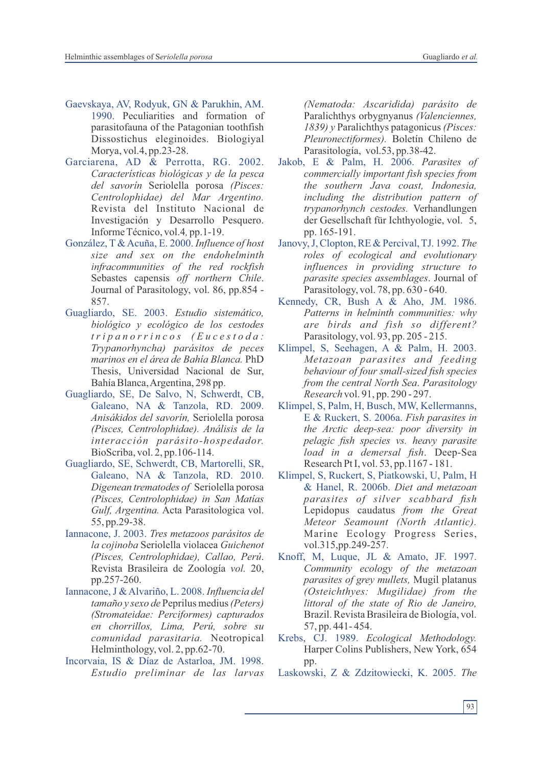- Gaevskaya, AV, Rodyuk, GN & Parukhin, AM. 1990. Peculiarities and formation of parasitofauna of the Patagonian toothfish Dissostichus eleginoides. Biologiyal Morya, vol.4, pp.23-28.
- Garciarena, AD & Perrotta, RG. 2002. *Características biológicas y de la pesca del savorín* Seriolella porosa *(Pisces: Centrolophidae) del Mar Argentino.* Revista del Instituto Nacional de Investigación y Desarrollo Pesquero. Informe Técnico, vol.4*,* pp.1-19.
- González, T & Acuña, E. 2000. *Influence of host size and sex on the endohelminth infracommunities of the red rockfish*  Sebastes capensis *off northern Chile*. Journal of Parasitology, vol. 86, pp.854 - 857.
- Guagliardo, SE. 2003. *Estudio sistemático, biológico y ecológico de los cestodes t r i p a n o r r i n c o s ( E u c e s t o d a : Trypanorhyncha) parásitos de peces marinos en el área de Bahía Blanca.* PhD Thesis, Universidad Nacional de Sur, Bahía Blanca, Argentina, 298 pp.
- Guagliardo, SE, De Salvo, N, Schwerdt, CB, Galeano, NA & Tanzola, RD. 2009. *Anisákidos del savorín,* Seriolella porosa *(Pisces, Centrolophidae). Análisis de la interacción parásito-hospedador.* BioScriba, vol. 2, pp.106-114.
- Guagliardo, SE, Schwerdt, CB, Martorelli, SR, Galeano, NA & Tanzola, RD. 2010. *Digenean trematodes of* Seriolella porosa *(Pisces, Centrolophidae) in San Matías Gulf, Argentina.* Acta Parasitologica vol. 55, pp.29-38.
- Iannacone, J. 2003. *Tres metazoos parásitos de la cojinoba* Seriolella violacea *Guichenot (Pisces, Centrolophidae), Callao, Perú*. Revista Brasileira de Zoología *vol.* 20, pp.257-260.
- Iannacone, J & Alvariño, L. 2008. *Influencia del tamaño y sexo de* Peprilus medius*(Peters) (Stromateidae: Perciformes) capturados en chorrillos, Lima, Perú, sobre su comunidad parasitaria.* Neotropical Helminthology, vol. 2, pp.62-70.
- Incorvaia, IS & Díaz de Astarloa, JM. 1998. *Estudio preliminar de las larvas*

*(Nematoda: Ascaridida) parásito de* Paralichthys orbygnyanus *(Valenciennes, 1839) y* Paralichthys patagonicus *(Pisces: Pleuronectiformes).* Boletín Chileno de Parasitología, vol.53, pp.38-42.

- Jakob, E & Palm, H. 2006. *Parasites of commercially important fish species from the southern Java coast, Indonesia, including the distribution pattern of trypanorhynch cestodes.* Verhandlungen der Gesellschaft für Ichthyologie, vol. 5, pp. 165-191.
- Janovy, J, Clopton, RE & Percival, TJ. 1992. *The roles of ecological and evolutionary influences in providing structure to parasite species assemblages*. Journal of Parasitology, vol. 78, pp. 630 - 640.
- Kennedy, CR, Bush A & Aho, JM. 1986. *Patterns in helminth communities: why are birds and fish so different?* Parasitology, vol. 93, pp. 205 - 215.
- Klimpel, S, Seehagen, A & Palm, H. 2003. *Metazoan parasites and feeding behaviour of four small-sized fish species from the central North Sea*. *Parasitology Research* vol. 91, pp. 290 - 297.
- Klimpel, S, Palm, H, Busch, MW, Kellermanns, E & Ruckert, S. 2006a. *Fish parasites in the Arctic deep-sea: poor diversity in pelagic fish species vs. heavy parasite load in a demersal fish*. Deep-Sea Research Pt I, vol. 53, pp.1167 - 181.
- Klimpel, S, Ruckert, S, Piatkowski, U, Palm, H & Hanel, R. 2006b. *Diet and metazoan parasites of silver scabbard fish* Lepidopus caudatus *from the Great Meteor Seamount (North Atlantic).* Marine Ecology Progress Series, vol.315,pp.249-257.
- Knoff, M, Luque, JL & Amato, JF. 1997. *Community ecology of the metazoan parasites of grey mullets,* Mugil platanus *(Osteichthyes: Mugilidae) from the littoral of the state of Rio de Janeiro,* Brazil. Revista Brasileira de Biología, vol. 57, pp. 441- 454.
- Krebs, CJ. 1989. *Ecological Methodology.* Harper Colins Publishers, New York, 654 pp.
- Laskowski, Z & Zdzitowiecki, K. 2005. *The*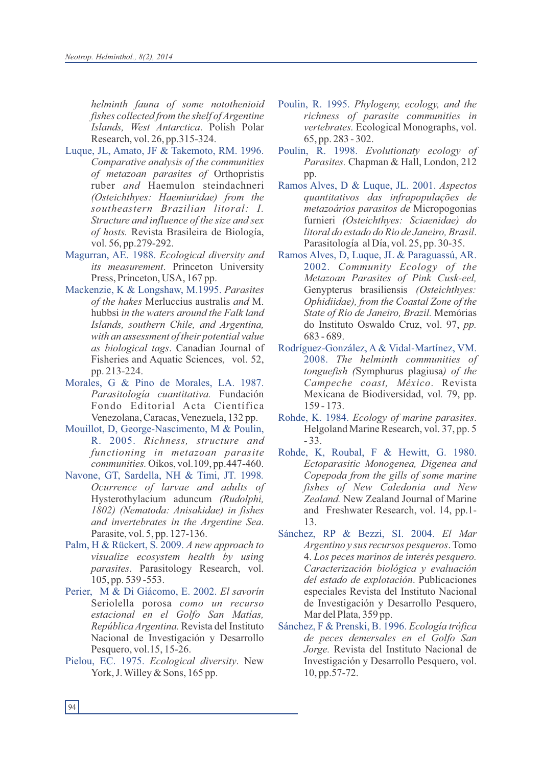*helminth fauna of some notothenioid fishes collected from the shelf of Argentine Islands, West Antarctica*. Polish Polar Research, vol. 26, pp.315-324.

- Luque, JL, Amato, JF & Takemoto, RM. 1996. *Comparative analysis of the communities of metazoan parasites of* Orthopristis ruber *and* Haemulon steindachneri *(Osteichthyes: Haemiuridae) from the southeastern Brazilian litoral: I. Structure and influence of the size and sex of hosts.* Revista Brasileira de Biología, vol. 56, pp.279-292.
- Magurran, AE. 1988. *Ecological diversity and its measurement*. Princeton University Press, Princeton, USA, 167 pp.
- Mackenzie, K & Longshaw, M.1995. *Parasites of the hakes* Merluccius australis *and* M. hubbsi *in the waters around the Falk land Islands, southern Chile, and Argentina, with an assessment of their potential value as biological tags*. Canadian Journal of Fisheries and Aquatic Sciences, vol. 52, pp. 213-224.
- Morales, G & Pino de Morales, LA. 1987. *Parasitología cuantitativa.* Fundación Fondo Editorial Acta Científica Venezolana, Caracas, Venezuela, 132 pp.
- Mouillot, D, George-Nascimento, M & Poulin, R. 2005. *Richness, structure and functioning in metazoan parasite communities.* Oikos, vol.109, pp.447-460.
- Navone, GT, Sardella, NH & Timi, JT. 1998*. Ocurrence of larvae and adults of* Hysterothylacium aduncum *(Rudolphi, 1802) (Nematoda: Anisakidae) in fishes and invertebrates in the Argentine Sea*. Parasite, vol. 5, pp. 127-136.
- Palm, H & Rückert, S. 2009. *A new approach to visualize ecosystem health by using parasites*. Parasitology Research, vol. 105, pp. 539 -553.
- Perier, M & Di Giácomo, E. 2002. *El savorín*  Seriolella porosa *como un recurso estacional en el Golfo San Matías, República Argentina.* Revista del Instituto Nacional de Investigación y Desarrollo Pesquero, vol.15, 15-26.
- Pielou, EC. 1975. *Ecological diversity*. New York, J. Willey & Sons, 165 pp.
- Poulin, R. 1995. *Phylogeny, ecology, and the richness of parasite communities in vertebrates.* Ecological Monographs, vol. 65, pp. 283 - 302.
- Poulin, R. 1998. *Evolutionaty ecology of Parasites.* Chapman & Hall, London, 212 pp.
- Ramos Alves, D & Luque, JL. 2001. *Aspectos quantitativos das infrapopulações de metazoários parasitos de* Micropogonias furnieri *(Osteichthyes: Sciaenidae) do litoral do estado do Rio de Janeiro, Brasil*. Parasitología al Día, vol. 25, pp. 30-35.
- Ramos Alves, D, Luque, JL & Paraguassú, AR. 2002. *Community Ecology of the Metazoan Parasites of Pink Cusk-eel,*  Genypterus brasiliensis *(Osteichthyes: Ophidiidae), from the Coastal Zone of the State of Rio de Janeiro, Brazil.* Memórias do Instituto Oswaldo Cruz, vol. 97, *pp.*  683 - 689.
- Rodríguez-González, A & Vidal-Martínez, VM. 2008. *The helminth communities of tonguefish (*Symphurus plagiusa*) of the Campeche coast, México*. Revista Mexicana de Biodiversidad, vol*.* 79, pp. 159 - 173.
- Rohde, K. 1984. *Ecology of marine parasites*. Helgoland Marine Research, vol. 37, pp. 5 - 33.
- Rohde, K, Roubal, F & Hewitt, G. 1980. *Ectoparasitic Monogenea, Digenea and Copepoda from the gills of some marine fishes of New Caledonia and New Zealand.* New Zealand Journal of Marine and Freshwater Research, vol. 14, pp.1- 13.
- Sánchez, RP & Bezzi, SI. 2004. *El Mar Argentino y sus recursos pesqueros*. Tomo 4. *Los peces marinos de interés pesquero. Caracterización biológica y evaluación del estado de explotación*. Publicaciones especiales Revista del Instituto Nacional de Investigación y Desarrollo Pesquero, Mar del Plata, 359 pp.
- Sánchez, F & Prenski, B. 1996. *Ecología trófica de peces demersales en el Golfo San Jorge.* Revista del Instituto Nacional de Investigación y Desarrollo Pesquero, vol. 10, pp.57-72.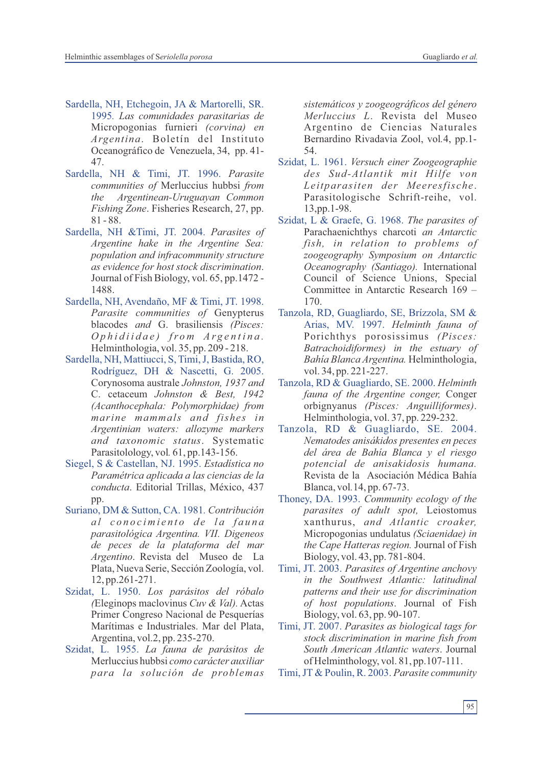- Sardella, NH, Etchegoin, JA & Martorelli, SR. 1995*. Las comunidades parasitarias de*  Micropogonias furnieri *(corvina) en Argentina*. Boletín del Instituto Oceanográfico de Venezuela, 34, pp. 41- 47.
- Sardella, NH & Timi, JT. 1996. *Parasite communities of* Merluccius hubbsi *from the Argentinean-Uruguayan Common Fishing Zone*. Fisheries Research, 27, pp. 81 - 88.
- Sardella, NH &Timi, JT. 2004. *Parasites of Argentine hake in the Argentine Sea: population and infracommunity structure as evidence for host stock discrimination*. Journal of Fish Biology, vol. 65, pp.1472 - 1488.
- Sardella, NH, Avendaño, MF & Timi, JT. 1998. *Parasite communities of* Genypterus blacodes *and* G. brasiliensis *(Pisces: O p h i d i i d a e ) fr o m A r g e n t i n a .* Helminthologia, vol. 35, pp. 209 - 218.
- Sardella, NH, Mattiucci, S, Timi, J, Bastida, RO, Rodríguez, DH & Nascetti, G. 2005. Corynosoma australe *Johnston, 1937 and*  C. cetaceum *Johnston & Best, 1942 (Acanthocephala: Polymorphidae) from marine mammals and fishes in Argentinian waters: allozyme markers and taxonomic status*. Systematic Parasitolology, vol*.* 61, pp.143-156.
- Siegel, S & Castellan, NJ. 1995. *Estadística no Paramétrica aplicada a las ciencias de la conducta*. Editorial Trillas, México, 437 pp.
- Suriano, DM & Sutton, CA. 1981*. Contribución a l c o n o c i m i e n t o d e l a f a u n a parasitológica Argentina. VII. Digeneos de peces de la plataforma del mar Argentino*. Revista del Museo de La Plata, Nueva Serie, Sección Zoología, vol. 12, pp.261-271.
- Szidat, L. 1950. *Los parásitos del róbalo (*Eleginops maclovinus *Cuv & Val).* Actas Primer Congreso Nacional de Pesquerías Marítimas e Industriales. Mar del Plata, Argentina, vol.2, pp. 235-270.
- Szidat, L. 1955. *La fauna de parásitos de*  Merluccius hubbsi *como carácter auxiliar para la solución de problemas*

*sistemáticos y zoogeográficos del género Merluccius L*. Revista del Museo Argentino de Ciencias Naturales Bernardino Rivadavia Zool, vol*.*4, pp.1- 54.

- Szidat, L. 1961. *Versuch einer Zoogeographie des Sud-Atlantik mit Hilfe von Leitparasiten der Meeresfische*. Parasitologische Schrift-reihe, vol. 13,pp.1-98.
- Szidat, L & Graefe, G. 1968. *The parasites of*  Parachaenichthys charcoti *an Antarctic fish, in relation to problems of zoogeography Symposium on Antarctic Oceanography (Santiago).* International Council of Science Unions, Special Committee in Antarctic Research 169 – 170.
- Tanzola, RD, Guagliardo, SE, Brízzola, SM & Arias, MV. 1997. *Helminth fauna of*  Porichthys porosissimus *(Pisces: Batrachoidiformes) in the estuary of Bahía Blanca Argentina.* Helminthologia, vol. 34, pp. 221-227.
- Tanzola, RD & Guagliardo, SE. 2000. *Helminth fauna of the Argentine conger,* Conger orbignyanus *(Pisces: Anguilliformes)*. Helminthologia, vol. 37, pp. 229-232.
- Tanzola, RD & Guagliardo, SE. 2004. *Nematodes anisákidos presentes en peces del área de Bahía Blanca y el riesgo potencial de anisakidosis humana.* Revista de la Asociación Médica Bahía Blanca, vol*.*14, pp. 67-73.
- Thoney, DA. 1993. *Community ecology of the parasites of adult spot,* Leiostomus xanthurus, *and Atlantic croaker,* Micropogonias undulatus *(Sciaenidae) in the Cape Hatteras region.* Journal of Fish Biology, vol. 43, pp. 781-804.
- Timi, JT. 2003. *Parasites of Argentine anchovy in the Southwest Atlantic: latitudinal patterns and their use for discrimination of host populations*. Journal of Fish Biology, vol. 63, pp. 90-107.
- Timi, JT. 2007. *Parasites as biological tags for stock discrimination in marine fish from South American Atlantic waters*. Journal of Helminthology, vol. 81, pp.107-111.
- Timi, JT & Poulin, R. 2003. *Parasite community*